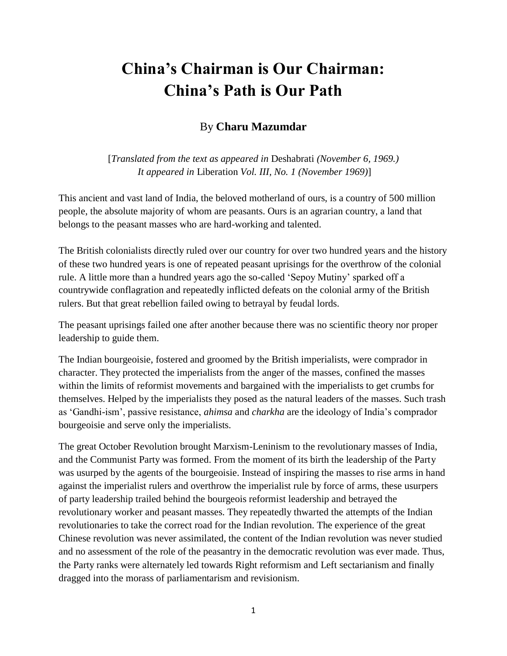## **China's Chairman is Our Chairman: China's Path is Our Path**

## By **Charu Mazumdar**

[*Translated from the text as appeared in* Deshabrati *(November 6, 1969.) It appeared in* Liberation *Vol. III, No. 1 (November 1969)*]

This ancient and vast land of India, the beloved motherland of ours, is a country of 500 million people, the absolute majority of whom are peasants. Ours is an agrarian country, a land that belongs to the peasant masses who are hard-working and talented.

The British colonialists directly ruled over our country for over two hundred years and the history of these two hundred years is one of repeated peasant uprisings for the overthrow of the colonial rule. A little more than a hundred years ago the so-called 'Sepoy Mutiny' sparked off a countrywide conflagration and repeatedly inflicted defeats on the colonial army of the British rulers. But that great rebellion failed owing to betrayal by feudal lords.

The peasant uprisings failed one after another because there was no scientific theory nor proper leadership to guide them.

The Indian bourgeoisie, fostered and groomed by the British imperialists, were comprador in character. They protected the imperialists from the anger of the masses, confined the masses within the limits of reformist movements and bargained with the imperialists to get crumbs for themselves. Helped by the imperialists they posed as the natural leaders of the masses. Such trash as 'Gandhi-ism', passive resistance, *ahimsa* and *charkha* are the ideology of India's comprador bourgeoisie and serve only the imperialists.

The great October Revolution brought Marxism-Leninism to the revolutionary masses of India, and the Communist Party was formed. From the moment of its birth the leadership of the Party was usurped by the agents of the bourgeoisie. Instead of inspiring the masses to rise arms in hand against the imperialist rulers and overthrow the imperialist rule by force of arms, these usurpers of party leadership trailed behind the bourgeois reformist leadership and betrayed the revolutionary worker and peasant masses. They repeatedly thwarted the attempts of the Indian revolutionaries to take the correct road for the Indian revolution. The experience of the great Chinese revolution was never assimilated, the content of the Indian revolution was never studied and no assessment of the role of the peasantry in the democratic revolution was ever made. Thus, the Party ranks were alternately led towards Right reformism and Left sectarianism and finally dragged into the morass of parliamentarism and revisionism.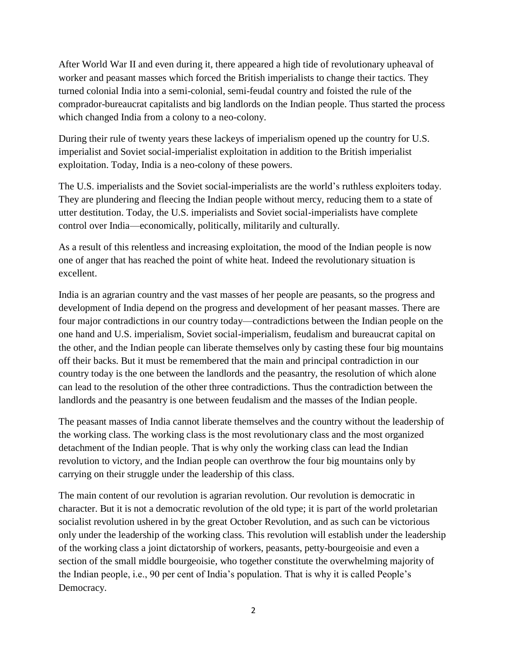After World War II and even during it, there appeared a high tide of revolutionary upheaval of worker and peasant masses which forced the British imperialists to change their tactics. They turned colonial India into a semi-colonial, semi-feudal country and foisted the rule of the comprador-bureaucrat capitalists and big landlords on the Indian people. Thus started the process which changed India from a colony to a neo-colony.

During their rule of twenty years these lackeys of imperialism opened up the country for U.S. imperialist and Soviet social-imperialist exploitation in addition to the British imperialist exploitation. Today, India is a neo-colony of these powers.

The U.S. imperialists and the Soviet social-imperialists are the world's ruthless exploiters today. They are plundering and fleecing the Indian people without mercy, reducing them to a state of utter destitution. Today, the U.S. imperialists and Soviet social-imperialists have complete control over India—economically, politically, militarily and culturally.

As a result of this relentless and increasing exploitation, the mood of the Indian people is now one of anger that has reached the point of white heat. Indeed the revolutionary situation is excellent.

India is an agrarian country and the vast masses of her people are peasants, so the progress and development of India depend on the progress and development of her peasant masses. There are four major contradictions in our country today—contradictions between the Indian people on the one hand and U.S. imperialism, Soviet social-imperialism, feudalism and bureaucrat capital on the other, and the Indian people can liberate themselves only by casting these four big mountains off their backs. But it must be remembered that the main and principal contradiction in our country today is the one between the landlords and the peasantry, the resolution of which alone can lead to the resolution of the other three contradictions. Thus the contradiction between the landlords and the peasantry is one between feudalism and the masses of the Indian people.

The peasant masses of India cannot liberate themselves and the country without the leadership of the working class. The working class is the most revolutionary class and the most organized detachment of the Indian people. That is why only the working class can lead the Indian revolution to victory, and the Indian people can overthrow the four big mountains only by carrying on their struggle under the leadership of this class.

The main content of our revolution is agrarian revolution. Our revolution is democratic in character. But it is not a democratic revolution of the old type; it is part of the world proletarian socialist revolution ushered in by the great October Revolution, and as such can be victorious only under the leadership of the working class. This revolution will establish under the leadership of the working class a joint dictatorship of workers, peasants, petty-bourgeoisie and even a section of the small middle bourgeoisie, who together constitute the overwhelming majority of the Indian people, i.e., 90 per cent of India's population. That is why it is called People's Democracy.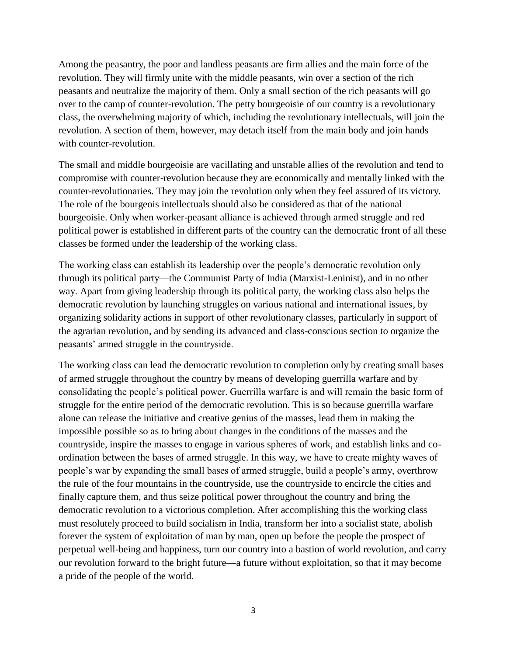Among the peasantry, the poor and landless peasants are firm allies and the main force of the revolution. They will firmly unite with the middle peasants, win over a section of the rich peasants and neutralize the majority of them. Only a small section of the rich peasants will go over to the camp of counter-revolution. The petty bourgeoisie of our country is a revolutionary class, the overwhelming majority of which, including the revolutionary intellectuals, will join the revolution. A section of them, however, may detach itself from the main body and join hands with counter-revolution.

The small and middle bourgeoisie are vacillating and unstable allies of the revolution and tend to compromise with counter-revolution because they are economically and mentally linked with the counter-revolutionaries. They may join the revolution only when they feel assured of its victory. The role of the bourgeois intellectuals should also be considered as that of the national bourgeoisie. Only when worker-peasant alliance is achieved through armed struggle and red political power is established in different parts of the country can the democratic front of all these classes be formed under the leadership of the working class.

The working class can establish its leadership over the people's democratic revolution only through its political party—the Communist Party of India (Marxist-Leninist), and in no other way. Apart from giving leadership through its political party, the working class also helps the democratic revolution by launching struggles on various national and international issues, by organizing solidarity actions in support of other revolutionary classes, particularly in support of the agrarian revolution, and by sending its advanced and class-conscious section to organize the peasants' armed struggle in the countryside.

The working class can lead the democratic revolution to completion only by creating small bases of armed struggle throughout the country by means of developing guerrilla warfare and by consolidating the people's political power. Guerrilla warfare is and will remain the basic form of struggle for the entire period of the democratic revolution. This is so because guerrilla warfare alone can release the initiative and creative genius of the masses, lead them in making the impossible possible so as to bring about changes in the conditions of the masses and the countryside, inspire the masses to engage in various spheres of work, and establish links and coordination between the bases of armed struggle. In this way, we have to create mighty waves of people's war by expanding the small bases of armed struggle, build a people's army, overthrow the rule of the four mountains in the countryside, use the countryside to encircle the cities and finally capture them, and thus seize political power throughout the country and bring the democratic revolution to a victorious completion. After accomplishing this the working class must resolutely proceed to build socialism in India, transform her into a socialist state, abolish forever the system of exploitation of man by man, open up before the people the prospect of perpetual well-being and happiness, turn our country into a bastion of world revolution, and carry our revolution forward to the bright future—a future without exploitation, so that it may become a pride of the people of the world.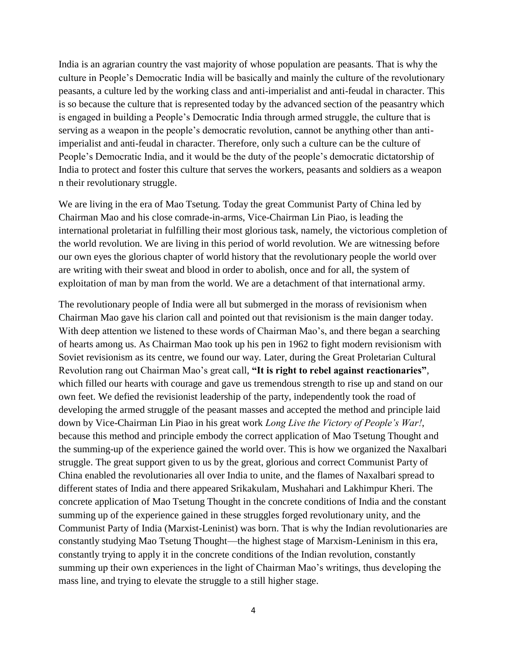India is an agrarian country the vast majority of whose population are peasants. That is why the culture in People's Democratic India will be basically and mainly the culture of the revolutionary peasants, a culture led by the working class and anti-imperialist and anti-feudal in character. This is so because the culture that is represented today by the advanced section of the peasantry which is engaged in building a People's Democratic India through armed struggle, the culture that is serving as a weapon in the people's democratic revolution, cannot be anything other than antiimperialist and anti-feudal in character. Therefore, only such a culture can be the culture of People's Democratic India, and it would be the duty of the people's democratic dictatorship of India to protect and foster this culture that serves the workers, peasants and soldiers as a weapon n their revolutionary struggle.

We are living in the era of Mao Tsetung. Today the great Communist Party of China led by Chairman Mao and his close comrade-in-arms, Vice-Chairman Lin Piao, is leading the international proletariat in fulfilling their most glorious task, namely, the victorious completion of the world revolution. We are living in this period of world revolution. We are witnessing before our own eyes the glorious chapter of world history that the revolutionary people the world over are writing with their sweat and blood in order to abolish, once and for all, the system of exploitation of man by man from the world. We are a detachment of that international army.

The revolutionary people of India were all but submerged in the morass of revisionism when Chairman Mao gave his clarion call and pointed out that revisionism is the main danger today. With deep attention we listened to these words of Chairman Mao's, and there began a searching of hearts among us. As Chairman Mao took up his pen in 1962 to fight modern revisionism with Soviet revisionism as its centre, we found our way. Later, during the Great Proletarian Cultural Revolution rang out Chairman Mao's great call, **"It is right to rebel against reactionaries"**, which filled our hearts with courage and gave us tremendous strength to rise up and stand on our own feet. We defied the revisionist leadership of the party, independently took the road of developing the armed struggle of the peasant masses and accepted the method and principle laid down by Vice-Chairman Lin Piao in his great work *Long Live the Victory of People's War!*, because this method and principle embody the correct application of Mao Tsetung Thought and the summing-up of the experience gained the world over. This is how we organized the Naxalbari struggle. The great support given to us by the great, glorious and correct Communist Party of China enabled the revolutionaries all over India to unite, and the flames of Naxalbari spread to different states of India and there appeared Srikakulam, Mushahari and Lakhimpur Kheri. The concrete application of Mao Tsetung Thought in the concrete conditions of India and the constant summing up of the experience gained in these struggles forged revolutionary unity, and the Communist Party of India (Marxist-Leninist) was born. That is why the Indian revolutionaries are constantly studying Mao Tsetung Thought—the highest stage of Marxism-Leninism in this era, constantly trying to apply it in the concrete conditions of the Indian revolution, constantly summing up their own experiences in the light of Chairman Mao's writings, thus developing the mass line, and trying to elevate the struggle to a still higher stage.